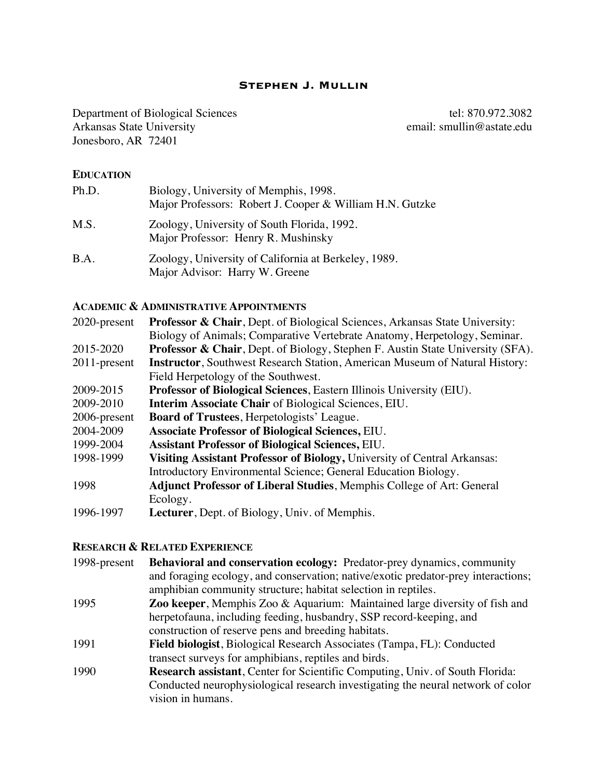#### **Stephen J. Mullin**

Department of Biological Sciences<br>Arkansas State University<br>Arkansas State University<br>Biological Sciences<br>Arkansas State University<br>Biological Sciences<br>Arkansas State University Arkansas State University Jonesboro, AR 72401

#### **EDUCATION**

| Ph.D.       | Biology, University of Memphis, 1998.<br>Major Professors: Robert J. Cooper & William H.N. Gutzke |
|-------------|---------------------------------------------------------------------------------------------------|
| M.S.        | Zoology, University of South Florida, 1992.<br>Major Professor: Henry R. Mushinsky                |
| <b>B.A.</b> | Zoology, University of California at Berkeley, 1989.<br>Major Advisor: Harry W. Greene            |

# **ACADEMIC & ADMINISTRATIVE APPOINTMENTS**

| 2020-present    | <b>Professor &amp; Chair</b> , Dept. of Biological Sciences, Arkansas State University:    |
|-----------------|--------------------------------------------------------------------------------------------|
|                 | Biology of Animals; Comparative Vertebrate Anatomy, Herpetology, Seminar.                  |
| 2015-2020       | <b>Professor &amp; Chair</b> , Dept. of Biology, Stephen F. Austin State University (SFA). |
| $2011$ -present | <b>Instructor</b> , Southwest Research Station, American Museum of Natural History:        |
|                 | Field Herpetology of the Southwest.                                                        |
| 2009-2015       | <b>Professor of Biological Sciences, Eastern Illinois University (EIU).</b>                |
| 2009-2010       | <b>Interim Associate Chair of Biological Sciences, EIU.</b>                                |
| 2006-present    | <b>Board of Trustees, Herpetologists' League.</b>                                          |
| 2004-2009       | <b>Associate Professor of Biological Sciences, EIU.</b>                                    |
| 1999-2004       | <b>Assistant Professor of Biological Sciences, EIU.</b>                                    |
| 1998-1999       | Visiting Assistant Professor of Biology, University of Central Arkansas:                   |
|                 | Introductory Environmental Science; General Education Biology.                             |
| 1998            | <b>Adjunct Professor of Liberal Studies, Memphis College of Art: General</b>               |
|                 | Ecology.                                                                                   |
| 1996-1997       | <b>Lecturer</b> , Dept. of Biology, Univ. of Memphis.                                      |
|                 |                                                                                            |

## **RESEARCH & RELATED EXPERIENCE**

| 1998-present | <b>Behavioral and conservation ecology:</b> Predator-prey dynamics, community       |
|--------------|-------------------------------------------------------------------------------------|
|              | and foraging ecology, and conservation; native/exotic predator-prey interactions;   |
|              | amphibian community structure; habitat selection in reptiles.                       |
| 1995         | Zoo keeper, Memphis Zoo & Aquarium: Maintained large diversity of fish and          |
|              | herpetofauna, including feeding, husbandry, SSP record-keeping, and                 |
|              | construction of reserve pens and breeding habitats.                                 |
| 1991         | Field biologist, Biological Research Associates (Tampa, FL): Conducted              |
|              | transect surveys for amphibians, reptiles and birds.                                |
| 1990         | <b>Research assistant, Center for Scientific Computing, Univ. of South Florida:</b> |
|              | Conducted neurophysiological research investigating the neural network of color     |
|              | vision in humans.                                                                   |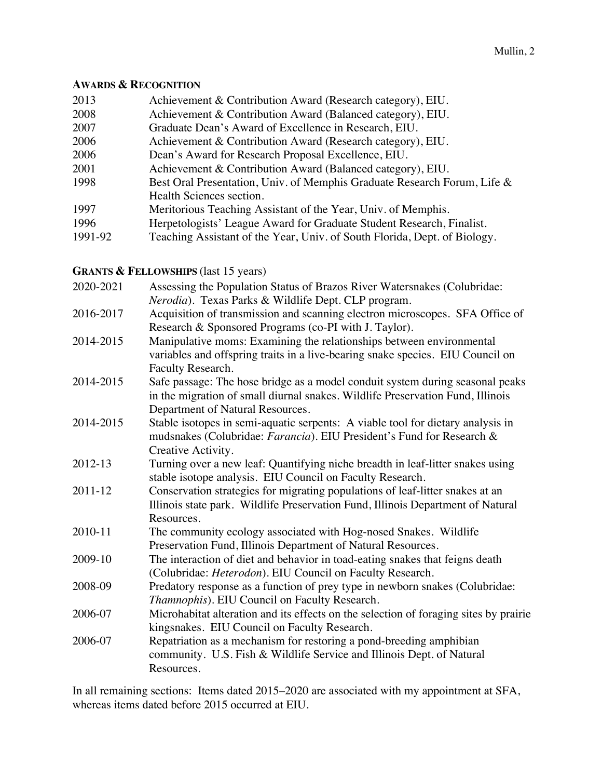#### **AWARDS & RECOGNITION**

| 2013    | Achievement & Contribution Award (Research category), EIU.                |
|---------|---------------------------------------------------------------------------|
| 2008    | Achievement & Contribution Award (Balanced category), EIU.                |
| 2007    | Graduate Dean's Award of Excellence in Research, EIU.                     |
| 2006    | Achievement & Contribution Award (Research category), EIU.                |
| 2006    | Dean's Award for Research Proposal Excellence, EIU.                       |
| 2001    | Achievement & Contribution Award (Balanced category), EIU.                |
| 1998    | Best Oral Presentation, Univ. of Memphis Graduate Research Forum, Life &  |
|         | Health Sciences section.                                                  |
| 1997    | Meritorious Teaching Assistant of the Year, Univ. of Memphis.             |
| 1996    | Herpetologists' League Award for Graduate Student Research, Finalist.     |
| 1991-92 | Teaching Assistant of the Year, Univ. of South Florida, Dept. of Biology. |

# **GRANTS & FELLOWSHIPS** (last 15 years)

| 2020-2021 | Assessing the Population Status of Brazos River Watersnakes (Colubridae:                                                                                                                            |
|-----------|-----------------------------------------------------------------------------------------------------------------------------------------------------------------------------------------------------|
|           | Nerodia). Texas Parks & Wildlife Dept. CLP program.                                                                                                                                                 |
| 2016-2017 | Acquisition of transmission and scanning electron microscopes. SFA Office of<br>Research & Sponsored Programs (co-PI with J. Taylor).                                                               |
| 2014-2015 | Manipulative moms: Examining the relationships between environmental<br>variables and offspring traits in a live-bearing snake species. EIU Council on<br>Faculty Research.                         |
| 2014-2015 | Safe passage: The hose bridge as a model conduit system during seasonal peaks<br>in the migration of small diurnal snakes. Wildlife Preservation Fund, Illinois<br>Department of Natural Resources. |
| 2014-2015 | Stable isotopes in semi-aquatic serpents: A viable tool for dietary analysis in<br>mudsnakes (Colubridae: Farancia). EIU President's Fund for Research &<br>Creative Activity.                      |
| 2012-13   | Turning over a new leaf: Quantifying niche breadth in leaf-litter snakes using<br>stable isotope analysis. EIU Council on Faculty Research.                                                         |
| 2011-12   | Conservation strategies for migrating populations of leaf-litter snakes at an<br>Illinois state park. Wildlife Preservation Fund, Illinois Department of Natural<br>Resources.                      |
| 2010-11   | The community ecology associated with Hog-nosed Snakes. Wildlife<br>Preservation Fund, Illinois Department of Natural Resources.                                                                    |
| 2009-10   | The interaction of diet and behavior in toad-eating snakes that feigns death<br>(Colubridae: Heterodon). EIU Council on Faculty Research.                                                           |
| 2008-09   | Predatory response as a function of prey type in newborn snakes (Colubridae:<br>Thamnophis). EIU Council on Faculty Research.                                                                       |
| 2006-07   | Microhabitat alteration and its effects on the selection of foraging sites by prairie<br>kingsnakes. EIU Council on Faculty Research.                                                               |
| 2006-07   | Repatriation as a mechanism for restoring a pond-breeding amphibian<br>community. U.S. Fish & Wildlife Service and Illinois Dept. of Natural<br>Resources.                                          |
|           |                                                                                                                                                                                                     |

In all remaining sections: Items dated 2015–2020 are associated with my appointment at SFA, whereas items dated before 2015 occurred at EIU.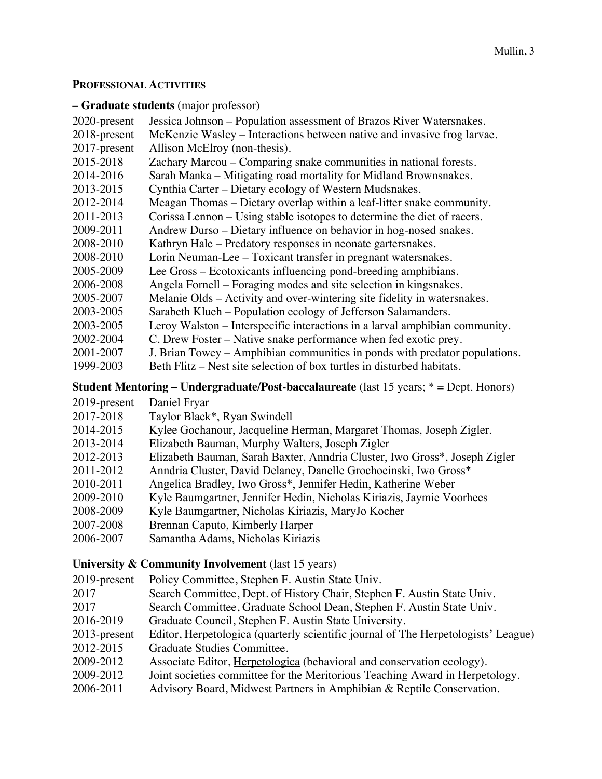## **PROFESSIONAL ACTIVITIES**

#### **– Graduate students** (major professor)

| 2020-present                                                                       | Jessica Johnson – Population assessment of Brazos River Watersnakes.        |
|------------------------------------------------------------------------------------|-----------------------------------------------------------------------------|
| 2018-present                                                                       | McKenzie Wasley – Interactions between native and invasive frog larvae.     |
| 2017-present                                                                       | Allison McElroy (non-thesis).                                               |
| 2015-2018                                                                          | Zachary Marcou – Comparing snake communities in national forests.           |
| 2014-2016                                                                          | Sarah Manka - Mitigating road mortality for Midland Brownsnakes.            |
| 2013-2015                                                                          | Cynthia Carter – Dietary ecology of Western Mudsnakes.                      |
| 2012-2014                                                                          | Meagan Thomas – Dietary overlap within a leaf-litter snake community.       |
| 2011-2013                                                                          | Corissa Lennon – Using stable isotopes to determine the diet of racers.     |
| 2009-2011                                                                          | Andrew Durso – Dietary influence on behavior in hog-nosed snakes.           |
| 2008-2010                                                                          | Kathryn Hale – Predatory responses in neonate gartersnakes.                 |
| 2008-2010                                                                          | Lorin Neuman-Lee – Toxicant transfer in pregnant watersnakes.               |
| 2005-2009                                                                          | Lee Gross – Ecotoxicants influencing pond-breeding amphibians.              |
| 2006-2008                                                                          | Angela Fornell – Foraging modes and site selection in kingsnakes.           |
| 2005-2007                                                                          | Melanie Olds – Activity and over-wintering site fidelity in watersnakes.    |
| 2003-2005                                                                          | Sarabeth Klueh – Population ecology of Jefferson Salamanders.               |
| 2003-2005                                                                          | Leroy Walston – Interspecific interactions in a larval amphibian community. |
| 2002-2004                                                                          | C. Drew Foster – Native snake performance when fed exotic prey.             |
| 2001-2007                                                                          | J. Brian Towey – Amphibian communities in ponds with predator populations.  |
| 1999-2003                                                                          | Beth Flitz – Nest site selection of box turtles in disturbed habitats.      |
| $Student Mathming Indomenduata/Dost hoogolouno data (last 15 wa x^* = Don Homors)$ |                                                                             |

**Student Mentoring – Undergraduate/Post-baccalaureate** (last 15 years; \* = Dept. Honors)

2019-present Daniel Fryar

| 2017-2018 | Taylor Black*, Ryan Swindell                                               |
|-----------|----------------------------------------------------------------------------|
| 2014-2015 | Kylee Gochanour, Jacqueline Herman, Margaret Thomas, Joseph Zigler.        |
| 2013-2014 | Elizabeth Bauman, Murphy Walters, Joseph Zigler                            |
| 2012-2013 | Elizabeth Bauman, Sarah Baxter, Anndria Cluster, Iwo Gross*, Joseph Zigler |
| 2011-2012 | Anndria Cluster, David Delaney, Danelle Grochocinski, Iwo Gross*           |
| 2010-2011 | Angelica Bradley, Iwo Gross*, Jennifer Hedin, Katherine Weber              |
| 2009-2010 | Kyle Baumgartner, Jennifer Hedin, Nicholas Kiriazis, Jaymie Voorhees       |
| 2008-2009 | Kyle Baumgartner, Nicholas Kiriazis, MaryJo Kocher                         |
| 2007-2008 | Brennan Caputo, Kimberly Harper                                            |
| 2006-2007 | Samantha Adams, Nicholas Kiriazis                                          |
|           |                                                                            |

# **University & Community Involvement** (last 15 years)

- 2019-present Policy Committee, Stephen F. Austin State Univ.
- 2017 Search Committee, Dept. of History Chair, Stephen F. Austin State Univ.
- 2017 Search Committee, Graduate School Dean, Stephen F. Austin State Univ.
- 2016-2019 Graduate Council, Stephen F. Austin State University.
- 2013-present Editor, Herpetologica (quarterly scientific journal of The Herpetologists' League)
- 2012-2015 Graduate Studies Committee.
- 2009-2012 Associate Editor, Herpetologica (behavioral and conservation ecology).
- 2009-2012 Joint societies committee for the Meritorious Teaching Award in Herpetology.
- 2006-2011 Advisory Board, Midwest Partners in Amphibian & Reptile Conservation.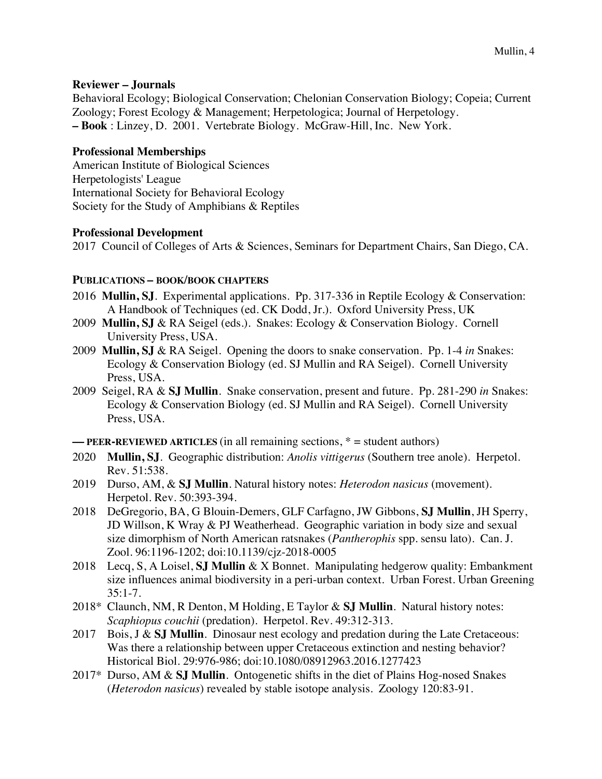# **Reviewer – Journals**

Behavioral Ecology; Biological Conservation; Chelonian Conservation Biology; Copeia; Current Zoology; Forest Ecology & Management; Herpetologica; Journal of Herpetology. **– Book** : Linzey, D. 2001. Vertebrate Biology. McGraw-Hill, Inc. New York.

# **Professional Memberships**

American Institute of Biological Sciences Herpetologists' League International Society for Behavioral Ecology Society for the Study of Amphibians & Reptiles

# **Professional Development**

2017 Council of Colleges of Arts & Sciences, Seminars for Department Chairs, San Diego, CA.

# **PUBLICATIONS – BOOK/BOOK CHAPTERS**

- 2016 **Mullin, SJ**. Experimental applications. Pp. 317-336 in Reptile Ecology & Conservation: A Handbook of Techniques (ed. CK Dodd, Jr.). Oxford University Press, UK
- 2009 **Mullin, SJ** & RA Seigel (eds.). Snakes: Ecology & Conservation Biology. Cornell University Press, USA.
- 2009 **Mullin, SJ** & RA Seigel. Opening the doors to snake conservation. Pp. 1-4 *in* Snakes: Ecology & Conservation Biology (ed. SJ Mullin and RA Seigel). Cornell University Press, USA.
- 2009 Seigel, RA & **SJ Mullin**. Snake conservation, present and future. Pp. 281-290 *in* Snakes: Ecology & Conservation Biology (ed. SJ Mullin and RA Seigel). Cornell University Press, USA.

**–– PEER-REVIEWED ARTICLES** (in all remaining sections, \* = student authors)

- 2020 **Mullin, SJ**. Geographic distribution: *Anolis vittigerus* (Southern tree anole). Herpetol. Rev. 51:538.
- 2019 Durso, AM, & **SJ Mullin**. Natural history notes: *Heterodon nasicus* (movement). Herpetol. Rev. 50:393-394.
- 2018 DeGregorio, BA, G Blouin-Demers, GLF Carfagno, JW Gibbons, **SJ Mullin**, JH Sperry, JD Willson, K Wray & PJ Weatherhead. Geographic variation in body size and sexual size dimorphism of North American ratsnakes (*Pantherophis* spp. sensu lato). Can. J. Zool. 96:1196-1202; doi:10.1139/cjz-2018-0005
- 2018 Lecq, S, A Loisel, **SJ Mullin** & X Bonnet. Manipulating hedgerow quality: Embankment size influences animal biodiversity in a peri-urban context. Urban Forest. Urban Greening  $35:1 - 7$ .
- 2018\* Claunch, NM, R Denton, M Holding, E Taylor & **SJ Mullin**. Natural history notes: *Scaphiopus couchii* (predation). Herpetol. Rev. 49:312-313.
- 2017 Bois, J & **SJ Mullin**. Dinosaur nest ecology and predation during the Late Cretaceous: Was there a relationship between upper Cretaceous extinction and nesting behavior? Historical Biol. 29:976-986; doi:10.1080/08912963.2016.1277423
- 2017\* Durso, AM & **SJ Mullin**. Ontogenetic shifts in the diet of Plains Hog-nosed Snakes (*Heterodon nasicus*) revealed by stable isotope analysis. Zoology 120:83-91.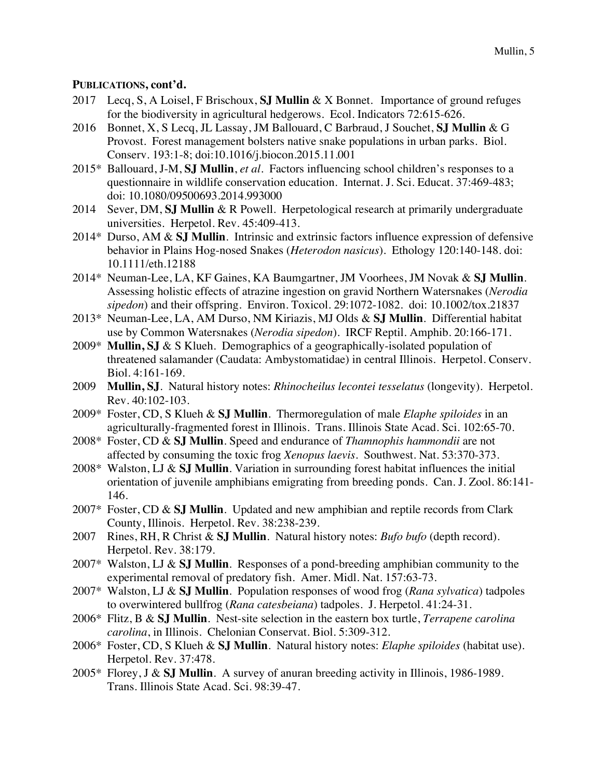# **PUBLICATIONS, cont'd.**

- 2017 Lecq, S, A Loisel, F Brischoux, **SJ Mullin** & X Bonnet. Importance of ground refuges for the biodiversity in agricultural hedgerows. Ecol. Indicators 72:615-626.
- 2016 Bonnet, X, S Lecq, JL Lassay, JM Ballouard, C Barbraud, J Souchet, **SJ Mullin** & G Provost. Forest management bolsters native snake populations in urban parks. Biol. Conserv. 193:1-8; doi:10.1016/j.biocon.2015.11.001
- 2015\* Ballouard, J-M, **SJ Mullin**, *et al*. Factors influencing school children's responses to a questionnaire in wildlife conservation education. Internat. J. Sci. Educat. 37:469-483; doi: 10.1080/09500693.2014.993000
- 2014 Sever, DM, **SJ Mullin** & R Powell. Herpetological research at primarily undergraduate universities. Herpetol. Rev. 45:409-413.
- 2014\* Durso, AM & **SJ Mullin**. Intrinsic and extrinsic factors influence expression of defensive behavior in Plains Hog-nosed Snakes (*Heterodon nasicus*). Ethology 120:140-148. doi: 10.1111/eth.12188
- 2014\* Neuman-Lee, LA, KF Gaines, KA Baumgartner, JM Voorhees, JM Novak & **SJ Mullin**. Assessing holistic effects of atrazine ingestion on gravid Northern Watersnakes (*Nerodia sipedon*) and their offspring. Environ. Toxicol. 29:1072-1082. doi: 10.1002/tox.21837
- 2013\* Neuman-Lee, LA, AM Durso, NM Kiriazis, MJ Olds & **SJ Mullin**. Differential habitat use by Common Watersnakes (*Nerodia sipedon*). IRCF Reptil. Amphib. 20:166-171*.*
- 2009\* **Mullin, SJ** & S Klueh. Demographics of a geographically-isolated population of threatened salamander (Caudata: Ambystomatidae) in central Illinois. Herpetol. Conserv. Biol. 4:161-169.
- 2009 **Mullin, SJ**. Natural history notes: *Rhinocheilus lecontei tesselatus* (longevity). Herpetol. Rev. 40:102-103.
- 2009\* Foster, CD, S Klueh & **SJ Mullin**. Thermoregulation of male *Elaphe spiloides* in an agriculturally-fragmented forest in Illinois. Trans. Illinois State Acad. Sci. 102:65-70.
- 2008\* Foster, CD & **SJ Mullin**. Speed and endurance of *Thamnophis hammondii* are not affected by consuming the toxic frog *Xenopus laevis*. Southwest. Nat. 53:370-373.
- 2008\* Walston, LJ & **SJ Mullin**. Variation in surrounding forest habitat influences the initial orientation of juvenile amphibians emigrating from breeding ponds. Can. J. Zool. 86:141- 146.
- 2007\* Foster, CD & **SJ Mullin**. Updated and new amphibian and reptile records from Clark County, Illinois. Herpetol. Rev. 38:238-239.
- 2007 Rines, RH, R Christ & **SJ Mullin**. Natural history notes: *Bufo bufo* (depth record). Herpetol. Rev. 38:179.
- 2007\* Walston, LJ & **SJ Mullin**. Responses of a pond-breeding amphibian community to the experimental removal of predatory fish. Amer. Midl. Nat. 157:63-73.
- 2007\* Walston, LJ & **SJ Mullin**. Population responses of wood frog (*Rana sylvatica*) tadpoles to overwintered bullfrog (*Rana catesbeiana*) tadpoles. J. Herpetol. 41:24-31.
- 2006\* Flitz, B & **SJ Mullin**. Nest-site selection in the eastern box turtle, *Terrapene carolina carolina*, in Illinois. Chelonian Conservat. Biol. 5:309-312.
- 2006\* Foster, CD, S Klueh & **SJ Mullin**. Natural history notes: *Elaphe spiloides* (habitat use). Herpetol. Rev. 37:478.
- 2005\* Florey, J & **SJ Mullin**. A survey of anuran breeding activity in Illinois, 1986-1989. Trans. Illinois State Acad. Sci. 98:39-47.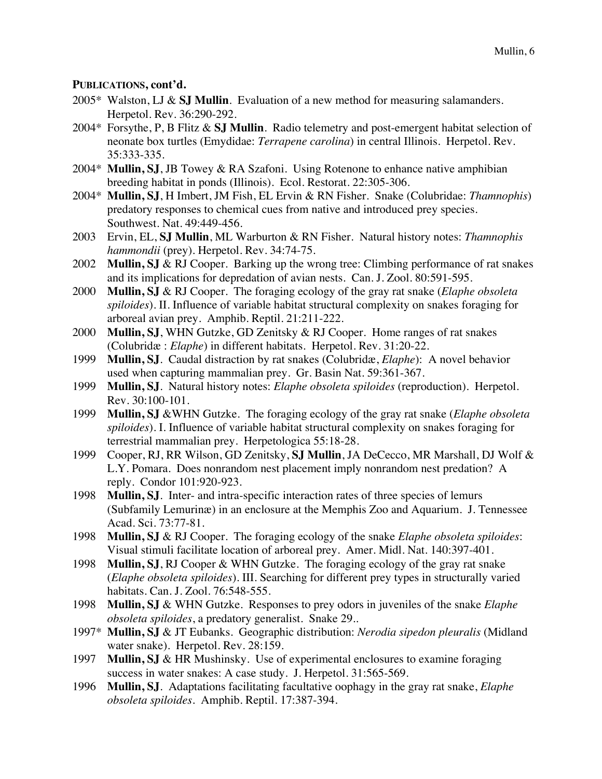# **PUBLICATIONS, cont'd.**

- 2005\* Walston, LJ & **SJ Mullin**. Evaluation of a new method for measuring salamanders. Herpetol. Rev. 36:290-292.
- 2004\* Forsythe, P, B Flitz & **SJ Mullin**. Radio telemetry and post-emergent habitat selection of neonate box turtles (Emydidae: *Terrapene carolina*) in central Illinois. Herpetol. Rev. 35:333-335.
- 2004\* **Mullin, SJ**, JB Towey & RA Szafoni. Using Rotenone to enhance native amphibian breeding habitat in ponds (Illinois). Ecol. Restorat. 22:305-306.
- 2004\* **Mullin, SJ**, H Imbert, JM Fish, EL Ervin & RN Fisher. Snake (Colubridae: *Thamnophis*) predatory responses to chemical cues from native and introduced prey species. Southwest. Nat. 49:449-456.
- 2003 Ervin, EL, **SJ Mullin**, ML Warburton & RN Fisher. Natural history notes: *Thamnophis hammondii* (prey). Herpetol. Rev. 34:74-75.
- 2002 **Mullin, SJ** & RJ Cooper. Barking up the wrong tree: Climbing performance of rat snakes and its implications for depredation of avian nests. Can. J. Zool. 80:591-595.
- 2000 **Mullin, SJ** & RJ Cooper. The foraging ecology of the gray rat snake (*Elaphe obsoleta spiloides*). II. Influence of variable habitat structural complexity on snakes foraging for arboreal avian prey. Amphib. Reptil. 21:211-222.
- 2000 **Mullin, SJ**, WHN Gutzke, GD Zenitsky & RJ Cooper. Home ranges of rat snakes (Colubridæ : *Elaphe*) in different habitats. Herpetol. Rev. 31:20-22.
- 1999 **Mullin, SJ**. Caudal distraction by rat snakes (Colubridæ, *Elaphe*): A novel behavior used when capturing mammalian prey. Gr. Basin Nat. 59:361-367.
- 1999 **Mullin, SJ**. Natural history notes: *Elaphe obsoleta spiloides* (reproduction). Herpetol. Rev. 30:100-101.
- 1999 **Mullin, SJ** &WHN Gutzke. The foraging ecology of the gray rat snake (*Elaphe obsoleta spiloides*). I. Influence of variable habitat structural complexity on snakes foraging for terrestrial mammalian prey. Herpetologica 55:18-28.
- 1999 Cooper, RJ, RR Wilson, GD Zenitsky, **SJ Mullin**, JA DeCecco, MR Marshall, DJ Wolf & L.Y. Pomara. Does nonrandom nest placement imply nonrandom nest predation? A reply. Condor 101:920-923.
- 1998 **Mullin, SJ**. Inter- and intra-specific interaction rates of three species of lemurs (Subfamily Lemurinæ) in an enclosure at the Memphis Zoo and Aquarium. J. Tennessee Acad. Sci. 73:77-81.
- 1998 **Mullin, SJ** & RJ Cooper. The foraging ecology of the snake *Elaphe obsoleta spiloides*: Visual stimuli facilitate location of arboreal prey. Amer. Midl. Nat. 140:397-401.
- 1998 **Mullin, SJ**, RJ Cooper & WHN Gutzke. The foraging ecology of the gray rat snake (*Elaphe obsoleta spiloides*). III. Searching for different prey types in structurally varied habitats. Can. J. Zool. 76:548-555.
- 1998 **Mullin, SJ** & WHN Gutzke. Responses to prey odors in juveniles of the snake *Elaphe obsoleta spiloides*, a predatory generalist. Snake 29..
- 1997\* **Mullin, SJ** & JT Eubanks. Geographic distribution: *Nerodia sipedon pleuralis* (Midland water snake). Herpetol. Rev. 28:159.
- 1997 **Mullin, SJ** & HR Mushinsky. Use of experimental enclosures to examine foraging success in water snakes: A case study. J. Herpetol. 31:565-569.
- 1996 **Mullin, SJ**. Adaptations facilitating facultative oophagy in the gray rat snake, *Elaphe obsoleta spiloides*. Amphib. Reptil. 17:387-394.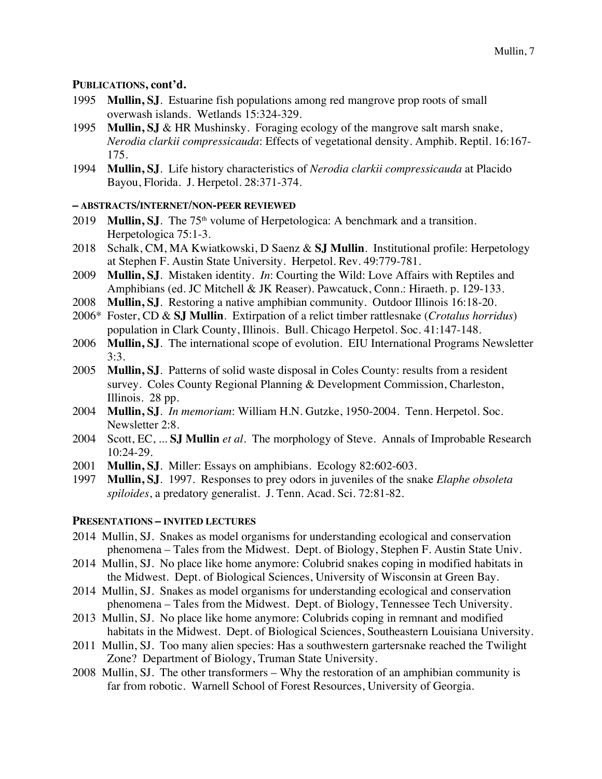# **PUBLICATIONS, cont'd.**

- 1995 **Mullin, SJ**. Estuarine fish populations among red mangrove prop roots of small overwash islands. Wetlands 15:324-329.
- 1995 **Mullin, SJ** & HR Mushinsky. Foraging ecology of the mangrove salt marsh snake, *Nerodia clarkii compressicauda*: Effects of vegetational density. Amphib. Reptil. 16:167- 175.
- 1994 **Mullin, SJ**. Life history characteristics of *Nerodia clarkii compressicauda* at Placido Bayou, Florida. J. Herpetol. 28:371-374.

## **– ABSTRACTS/INTERNET/NON-PEER REVIEWED**

- 2019 **Mullin, S.J**. The 75<sup>th</sup> volume of Herpetologica: A benchmark and a transition. Herpetologica 75:1-3.
- 2018 Schalk, CM, MA Kwiatkowski, D Saenz & **SJ Mullin**. Institutional profile: Herpetology at Stephen F. Austin State University. Herpetol. Rev. 49:779-781.
- 2009 **Mullin, SJ**. Mistaken identity. *In*: Courting the Wild: Love Affairs with Reptiles and Amphibians (ed. JC Mitchell & JK Reaser). Pawcatuck, Conn.: Hiraeth. p. 129-133.
- 2008 **Mullin, SJ**. Restoring a native amphibian community. Outdoor Illinois 16:18-20.
- 2006\* Foster, CD & **SJ Mullin**. Extirpation of a relict timber rattlesnake (*Crotalus horridus*) population in Clark County, Illinois. Bull. Chicago Herpetol. Soc. 41:147-148.
- 2006 **Mullin, SJ**. The international scope of evolution. EIU International Programs Newsletter 3:3.
- 2005 **Mullin, SJ**. Patterns of solid waste disposal in Coles County: results from a resident survey. Coles County Regional Planning & Development Commission, Charleston, Illinois. 28 pp.
- 2004 **Mullin, SJ**. *In memoriam*: William H.N. Gutzke, 1950-2004. Tenn. Herpetol. Soc. Newsletter 2:8.
- 2004 Scott, EC, ... **SJ Mullin** *et al*. The morphology of Steve. Annals of Improbable Research 10:24-29.
- 2001 **Mullin, SJ**. Miller: Essays on amphibians. Ecology 82:602-603.
- 1997 **Mullin, SJ**. 1997. Responses to prey odors in juveniles of the snake *Elaphe obsoleta spiloides*, a predatory generalist. J. Tenn. Acad. Sci. 72:81-82.

## **PRESENTATIONS – INVITED LECTURES**

- 2014 Mullin, SJ. Snakes as model organisms for understanding ecological and conservation phenomena – Tales from the Midwest. Dept. of Biology, Stephen F. Austin State Univ.
- 2014 Mullin, SJ. No place like home anymore: Colubrid snakes coping in modified habitats in the Midwest. Dept. of Biological Sciences, University of Wisconsin at Green Bay.
- 2014 Mullin, SJ. Snakes as model organisms for understanding ecological and conservation phenomena – Tales from the Midwest. Dept. of Biology, Tennessee Tech University.
- 2013 Mullin, SJ. No place like home anymore: Colubrids coping in remnant and modified habitats in the Midwest. Dept. of Biological Sciences, Southeastern Louisiana University.
- 2011 Mullin, SJ. Too many alien species: Has a southwestern gartersnake reached the Twilight Zone? Department of Biology, Truman State University.
- 2008 Mullin, SJ. The other transformers Why the restoration of an amphibian community is far from robotic. Warnell School of Forest Resources, University of Georgia.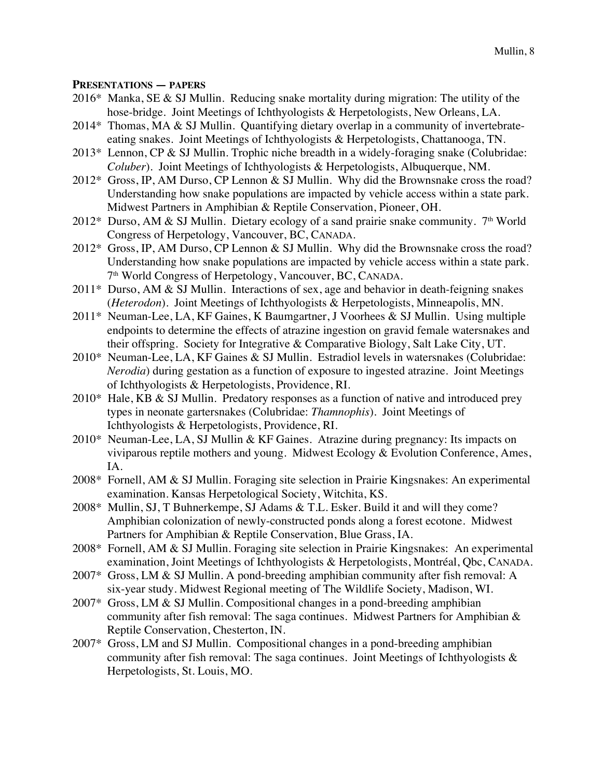#### **PRESENTATIONS — PAPERS**

- 2016\* Manka, SE & SJ Mullin. Reducing snake mortality during migration: The utility of the hose-bridge. Joint Meetings of Ichthyologists & Herpetologists, New Orleans, LA.
- 2014\* Thomas, MA & SJ Mullin. Quantifying dietary overlap in a community of invertebrateeating snakes. Joint Meetings of Ichthyologists & Herpetologists, Chattanooga, TN.
- 2013\* Lennon, CP & SJ Mullin. Trophic niche breadth in a widely-foraging snake (Colubridae: *Coluber*). Joint Meetings of Ichthyologists & Herpetologists, Albuquerque, NM.
- 2012\* Gross, IP, AM Durso, CP Lennon & SJ Mullin. Why did the Brownsnake cross the road? Understanding how snake populations are impacted by vehicle access within a state park. Midwest Partners in Amphibian & Reptile Conservation, Pioneer, OH.
- 2012\* Durso, AM & SJ Mullin. Dietary ecology of a sand prairie snake community.  $7<sup>th</sup>$  World Congress of Herpetology, Vancouver, BC, CANADA.
- 2012\* Gross, IP, AM Durso, CP Lennon & SJ Mullin. Why did the Brownsnake cross the road? Understanding how snake populations are impacted by vehicle access within a state park. 7th World Congress of Herpetology, Vancouver, BC, CANADA.
- $2011*$  Durso, AM & SJ Mullin. Interactions of sex, age and behavior in death-feigning snakes (*Heterodon*). Joint Meetings of Ichthyologists & Herpetologists, Minneapolis, MN.
- 2011\* Neuman-Lee, LA, KF Gaines, K Baumgartner, J Voorhees & SJ Mullin. Using multiple endpoints to determine the effects of atrazine ingestion on gravid female watersnakes and their offspring. Society for Integrative & Comparative Biology, Salt Lake City, UT.
- 2010\* Neuman-Lee, LA, KF Gaines & SJ Mullin. Estradiol levels in watersnakes (Colubridae: *Nerodia*) during gestation as a function of exposure to ingested atrazine. Joint Meetings of Ichthyologists & Herpetologists, Providence, RI.
- 2010\* Hale, KB & SJ Mullin. Predatory responses as a function of native and introduced prey types in neonate gartersnakes (Colubridae: *Thamnophis*). Joint Meetings of Ichthyologists & Herpetologists, Providence, RI.
- 2010\* Neuman-Lee, LA, SJ Mullin & KF Gaines. Atrazine during pregnancy: Its impacts on viviparous reptile mothers and young. Midwest Ecology & Evolution Conference, Ames, IA.
- 2008\* Fornell, AM & SJ Mullin. Foraging site selection in Prairie Kingsnakes: An experimental examination. Kansas Herpetological Society, Witchita, KS.
- 2008\* Mullin, SJ, T Buhnerkempe, SJ Adams & T.L. Esker. Build it and will they come? Amphibian colonization of newly-constructed ponds along a forest ecotone. Midwest Partners for Amphibian & Reptile Conservation, Blue Grass, IA.
- 2008\* Fornell, AM & SJ Mullin. Foraging site selection in Prairie Kingsnakes: An experimental examination, Joint Meetings of Ichthyologists & Herpetologists, Montréal, Qbc, CANADA.
- 2007\* Gross, LM & SJ Mullin. A pond-breeding amphibian community after fish removal: A six-year study. Midwest Regional meeting of The Wildlife Society, Madison, WI.
- 2007\* Gross, LM & SJ Mullin. Compositional changes in a pond-breeding amphibian community after fish removal: The saga continues. Midwest Partners for Amphibian & Reptile Conservation, Chesterton, IN.
- 2007\* Gross, LM and SJ Mullin. Compositional changes in a pond-breeding amphibian community after fish removal: The saga continues. Joint Meetings of Ichthyologists & Herpetologists, St. Louis, MO.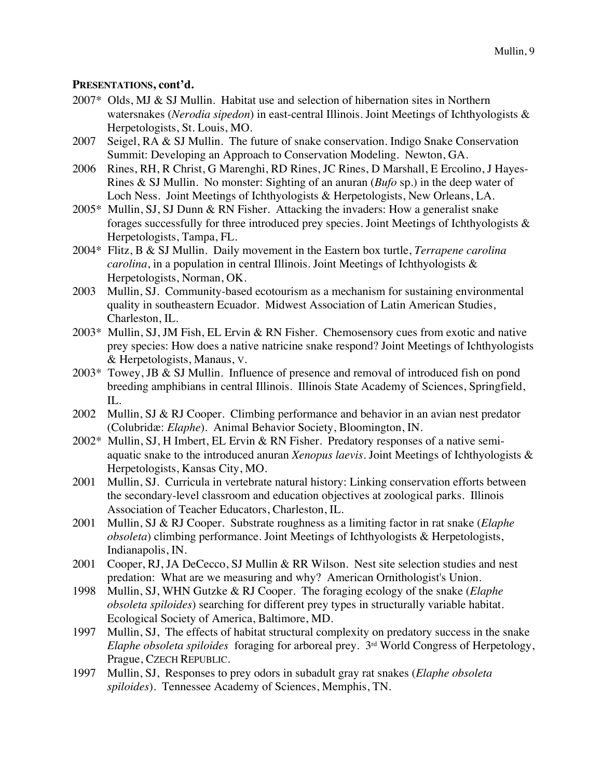- 2007\* Olds, MJ & SJ Mullin. Habitat use and selection of hibernation sites in Northern watersnakes (*Nerodia sipedon*) in east-central Illinois. Joint Meetings of Ichthyologists & Herpetologists, St. Louis, MO.
- 2007 Seigel, RA & SJ Mullin. The future of snake conservation. Indigo Snake Conservation Summit: Developing an Approach to Conservation Modeling. Newton, GA.
- 2006 Rines, RH, R Christ, G Marenghi, RD Rines, JC Rines, D Marshall, E Ercolino, J Hayes-Rines & SJ Mullin. No monster: Sighting of an anuran (*Bufo* sp.) in the deep water of Loch Ness. Joint Meetings of Ichthyologists & Herpetologists, New Orleans, LA.
- 2005\* Mullin, SJ, SJ Dunn & RN Fisher. Attacking the invaders: How a generalist snake forages successfully for three introduced prey species. Joint Meetings of Ichthyologists & Herpetologists, Tampa, FL.
- 2004\* Flitz, B & SJ Mullin. Daily movement in the Eastern box turtle, *Terrapene carolina carolina*, in a population in central Illinois. Joint Meetings of Ichthyologists & Herpetologists, Norman, OK.
- 2003 Mullin, SJ. Community-based ecotourism as a mechanism for sustaining environmental quality in southeastern Ecuador. Midwest Association of Latin American Studies, Charleston, IL.
- 2003\* Mullin, SJ, JM Fish, EL Ervin & RN Fisher. Chemosensory cues from exotic and native prey species: How does a native natricine snake respond? Joint Meetings of Ichthyologists & Herpetologists, Manaus, V.
- 2003\* Towey, JB & SJ Mullin. Influence of presence and removal of introduced fish on pond breeding amphibians in central Illinois. Illinois State Academy of Sciences, Springfield, IL.
- 2002 Mullin, SJ & RJ Cooper. Climbing performance and behavior in an avian nest predator (Colubridæ: *Elaphe*). Animal Behavior Society, Bloomington, IN.
- 2002\* Mullin, SJ, H Imbert, EL Ervin & RN Fisher. Predatory responses of a native semiaquatic snake to the introduced anuran *Xenopus laevis*. Joint Meetings of Ichthyologists & Herpetologists, Kansas City, MO.
- 2001 Mullin, SJ. Curricula in vertebrate natural history: Linking conservation efforts between the secondary-level classroom and education objectives at zoological parks. Illinois Association of Teacher Educators, Charleston, IL.
- 2001 Mullin, SJ & RJ Cooper. Substrate roughness as a limiting factor in rat snake (*Elaphe obsoleta*) climbing performance. Joint Meetings of Ichthyologists & Herpetologists, Indianapolis, IN.
- 2001 Cooper, RJ, JA DeCecco, SJ Mullin & RR Wilson. Nest site selection studies and nest predation: What are we measuring and why? American Ornithologist's Union.
- 1998 Mullin, SJ, WHN Gutzke & RJ Cooper. The foraging ecology of the snake (*Elaphe obsoleta spiloides*) searching for different prey types in structurally variable habitat. Ecological Society of America, Baltimore, MD.
- 1997 Mullin, SJ, The effects of habitat structural complexity on predatory success in the snake *Elaphe obsoleta spiloides* foraging for arboreal prey. 3rd World Congress of Herpetology, Prague, CZECH REPUBLIC.
- 1997 Mullin, SJ, Responses to prey odors in subadult gray rat snakes (*Elaphe obsoleta spiloides*). Tennessee Academy of Sciences, Memphis, TN.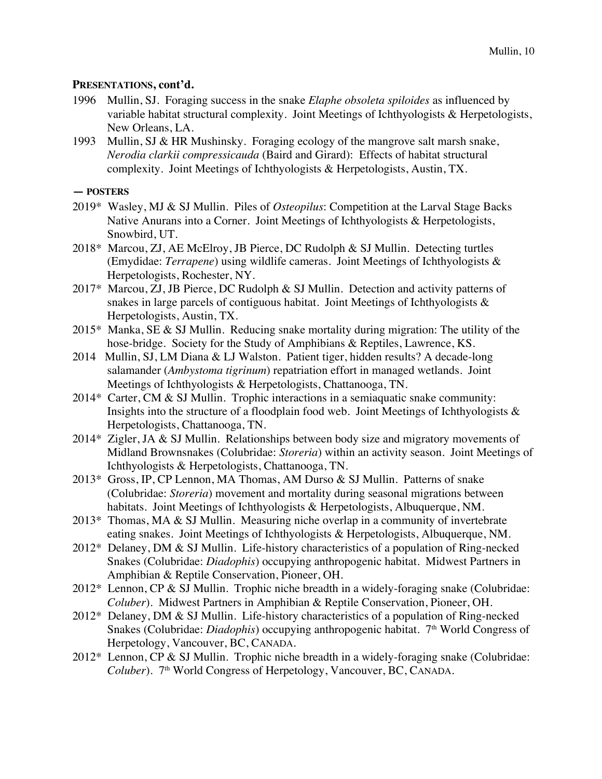- 1996 Mullin, SJ. Foraging success in the snake *Elaphe obsoleta spiloides* as influenced by variable habitat structural complexity. Joint Meetings of Ichthyologists & Herpetologists, New Orleans, LA.
- 1993 Mullin, SJ & HR Mushinsky. Foraging ecology of the mangrove salt marsh snake, *Nerodia clarkii compressicauda* (Baird and Girard): Effects of habitat structural complexity. Joint Meetings of Ichthyologists & Herpetologists, Austin, TX.

#### **— POSTERS**

- 2019\* Wasley, MJ & SJ Mullin. Piles of *Osteopilus*: Competition at the Larval Stage Backs Native Anurans into a Corner. Joint Meetings of Ichthyologists & Herpetologists, Snowbird, UT.
- 2018\* Marcou, ZJ, AE McElroy, JB Pierce, DC Rudolph & SJ Mullin. Detecting turtles (Emydidae: *Terrapene*) using wildlife cameras. Joint Meetings of Ichthyologists & Herpetologists, Rochester, NY.
- 2017\* Marcou, ZJ, JB Pierce, DC Rudolph & SJ Mullin. Detection and activity patterns of snakes in large parcels of contiguous habitat. Joint Meetings of Ichthyologists & Herpetologists, Austin, TX.
- 2015\* Manka, SE & SJ Mullin. Reducing snake mortality during migration: The utility of the hose-bridge. Society for the Study of Amphibians & Reptiles, Lawrence, KS.
- 2014 Mullin, SJ, LM Diana & LJ Walston. Patient tiger, hidden results? A decade-long salamander (*Ambystoma tigrinum*) repatriation effort in managed wetlands. Joint Meetings of Ichthyologists & Herpetologists, Chattanooga, TN.
- 2014\* Carter, CM & SJ Mullin. Trophic interactions in a semiaquatic snake community: Insights into the structure of a floodplain food web. Joint Meetings of Ichthyologists  $\&$ Herpetologists, Chattanooga, TN.
- 2014\* Zigler, JA & SJ Mullin. Relationships between body size and migratory movements of Midland Brownsnakes (Colubridae: *Storeria*) within an activity season. Joint Meetings of Ichthyologists & Herpetologists, Chattanooga, TN.
- 2013\* Gross, IP, CP Lennon, MA Thomas, AM Durso & SJ Mullin. Patterns of snake (Colubridae: *Storeria*) movement and mortality during seasonal migrations between habitats. Joint Meetings of Ichthyologists & Herpetologists, Albuquerque, NM.
- 2013\* Thomas, MA & SJ Mullin. Measuring niche overlap in a community of invertebrate eating snakes. Joint Meetings of Ichthyologists & Herpetologists, Albuquerque, NM.
- 2012\* Delaney, DM & SJ Mullin. Life-history characteristics of a population of Ring-necked Snakes (Colubridae: *Diadophis*) occupying anthropogenic habitat. Midwest Partners in Amphibian & Reptile Conservation, Pioneer, OH.
- 2012\* Lennon, CP & SJ Mullin. Trophic niche breadth in a widely-foraging snake (Colubridae: *Coluber*). Midwest Partners in Amphibian & Reptile Conservation, Pioneer, OH.
- 2012\* Delaney, DM & SJ Mullin. Life-history characteristics of a population of Ring-necked Snakes (Colubridae: *Diadophis*) occupying anthropogenic habitat. 7<sup>th</sup> World Congress of Herpetology, Vancouver, BC, CANADA.
- 2012\* Lennon, CP & SJ Mullin. Trophic niche breadth in a widely-foraging snake (Colubridae: *Coluber*). 7<sup>th</sup> World Congress of Herpetology, Vancouver, BC, CANADA.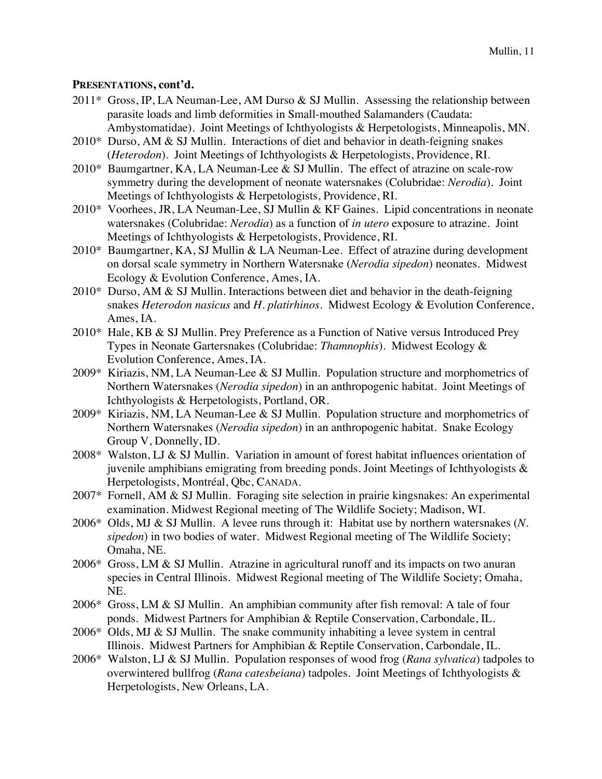- 2011\* Gross, IP, LA Neuman-Lee, AM Durso & SJ Mullin. Assessing the relationship between parasite loads and limb deformities in Small-mouthed Salamanders (Caudata: Ambystomatidae). Joint Meetings of Ichthyologists & Herpetologists, Minneapolis, MN.
- 2010\* Durso, AM & SJ Mullin. Interactions of diet and behavior in death-feigning snakes (*Heterodon*). Joint Meetings of Ichthyologists & Herpetologists, Providence, RI.
- 2010\* Baumgartner, KA, LA Neuman-Lee & SJ Mullin. The effect of atrazine on scale-row symmetry during the development of neonate watersnakes (Colubridae: *Nerodia*). Joint Meetings of Ichthyologists & Herpetologists, Providence, RI.
- 2010\* Voorhees, JR, LA Neuman-Lee, SJ Mullin & KF Gaines. Lipid concentrations in neonate watersnakes (Colubridae: *Nerodia*) as a function of *in utero* exposure to atrazine. Joint Meetings of Ichthyologists & Herpetologists, Providence, RI.
- 2010\* Baumgartner, KA, SJ Mullin & LA Neuman-Lee. Effect of atrazine during development on dorsal scale symmetry in Northern Watersnake (*Nerodia sipedon*) neonates. Midwest Ecology & Evolution Conference, Ames, IA.
- 2010\* Durso, AM & SJ Mullin. Interactions between diet and behavior in the death-feigning snakes *Heterodon nasicus* and *H. platirhinos*. Midwest Ecology & Evolution Conference, Ames, IA.
- 2010\* Hale, KB & SJ Mullin. Prey Preference as a Function of Native versus Introduced Prey Types in Neonate Gartersnakes (Colubridae: *Thamnophis*). Midwest Ecology & Evolution Conference, Ames, IA.
- 2009\* Kiriazis, NM, LA Neuman-Lee & SJ Mullin. Population structure and morphometrics of Northern Watersnakes (*Nerodia sipedon*) in an anthropogenic habitat. Joint Meetings of Ichthyologists & Herpetologists, Portland, OR.
- 2009\* Kiriazis, NM, LA Neuman-Lee & SJ Mullin. Population structure and morphometrics of Northern Watersnakes (*Nerodia sipedon*) in an anthropogenic habitat. Snake Ecology Group V, Donnelly, ID.
- 2008\* Walston, LJ & SJ Mullin. Variation in amount of forest habitat influences orientation of juvenile amphibians emigrating from breeding ponds. Joint Meetings of Ichthyologists & Herpetologists, Montréal, Qbc, CANADA.
- 2007\* Fornell, AM & SJ Mullin. Foraging site selection in prairie kingsnakes: An experimental examination. Midwest Regional meeting of The Wildlife Society; Madison, WI.
- 2006\* Olds, MJ & SJ Mullin. A levee runs through it: Habitat use by northern watersnakes (*N. sipedon*) in two bodies of water. Midwest Regional meeting of The Wildlife Society; Omaha, NE.
- 2006\* Gross, LM & SJ Mullin. Atrazine in agricultural runoff and its impacts on two anuran species in Central Illinois. Midwest Regional meeting of The Wildlife Society; Omaha, NE.
- 2006\* Gross, LM & SJ Mullin. An amphibian community after fish removal: A tale of four ponds. Midwest Partners for Amphibian & Reptile Conservation, Carbondale, IL.
- 2006\* Olds, MJ & SJ Mullin. The snake community inhabiting a levee system in central Illinois. Midwest Partners for Amphibian & Reptile Conservation, Carbondale, IL.
- 2006\* Walston, LJ & SJ Mullin. Population responses of wood frog (*Rana sylvatica*) tadpoles to overwintered bullfrog (*Rana catesbeiana*) tadpoles. Joint Meetings of Ichthyologists & Herpetologists, New Orleans, LA.